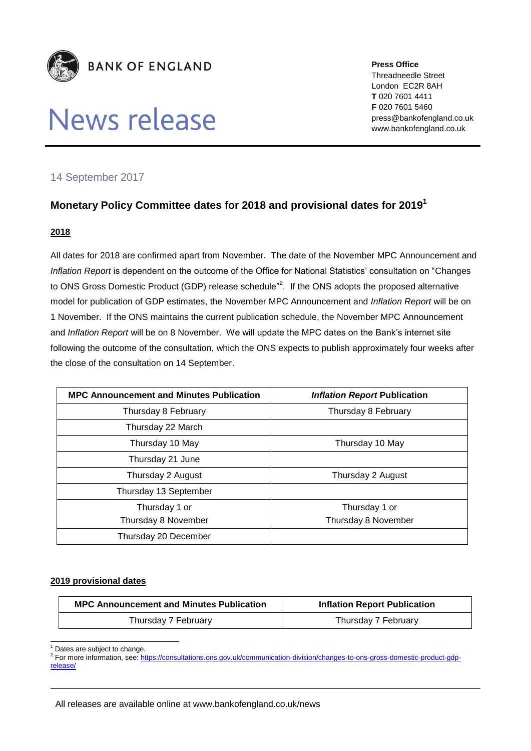

# News release

**Press Office** Threadneedle Street London EC2R 8AH **T** 020 7601 4411 **F** 020 7601 5460 press@bankofengland.co.uk www.bankofengland.co.uk

## 14 September 2017

## **Monetary Policy Committee dates for 2018 and provisional dates for 2019 1**

#### **2018**

All dates for 2018 are confirmed apart from November. The date of the November MPC Announcement and *Inflation Report* is dependent on the outcome of the Office for National Statistics' consultation on "Changes to ONS Gross Domestic Product (GDP) release schedule"<sup>2</sup>. If the ONS adopts the proposed alternative model for publication of GDP estimates, the November MPC Announcement and *Inflation Report* will be on 1 November. If the ONS maintains the current publication schedule, the November MPC Announcement and *Inflation Report* will be on 8 November. We will update the MPC dates on the Bank's internet site following the outcome of the consultation, which the ONS expects to publish approximately four weeks after the close of the consultation on 14 September.

| <b>MPC Announcement and Minutes Publication</b> | <b>Inflation Report Publication</b> |
|-------------------------------------------------|-------------------------------------|
| Thursday 8 February                             | Thursday 8 February                 |
| Thursday 22 March                               |                                     |
| Thursday 10 May                                 | Thursday 10 May                     |
| Thursday 21 June                                |                                     |
| Thursday 2 August                               | Thursday 2 August                   |
| Thursday 13 September                           |                                     |
| Thursday 1 or                                   | Thursday 1 or                       |
| Thursday 8 November                             | Thursday 8 November                 |
| Thursday 20 December                            |                                     |

#### **2019 provisional dates**

| <b>MPC Announcement and Minutes Publication</b> | <b>Inflation Report Publication</b> |
|-------------------------------------------------|-------------------------------------|
| Thursday 7 February                             | Thursday 7 February                 |

1 Dates are subject to change.

<sup>&</sup>lt;sup>2</sup> For more information, see[: https://consultations.ons.gov.uk/communication-division/changes-to-ons-gross-domestic-product-gdp](https://consultations.ons.gov.uk/communication-division/changes-to-ons-gross-domestic-product-gdp-release/)[release/](https://consultations.ons.gov.uk/communication-division/changes-to-ons-gross-domestic-product-gdp-release/)